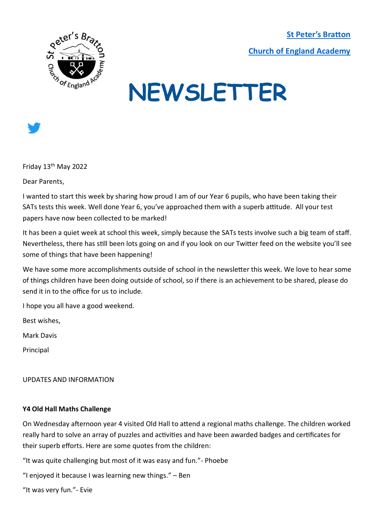**[St Peter's Bratton](https://www.brattonstpeters.org.uk/)  [Church of England Academy](https://www.brattonstpeters.org.uk/)**



# **NEWSLETTER**



Friday 13th May 2022

Dear Parents,

I wanted to start this week by sharing how proud I am of our Year 6 pupils, who have been taking their SATs tests this week. Well done Year 6, you've approached them with a superb attitude. All your test papers have now been collected to be marked!

It has been a quiet week at school this week, simply because the SATs tests involve such a big team of staff. Nevertheless, there has still been lots going on and if you look on our Twitter feed on the website you'll see some of things that have been happening!

We have some more accomplishments outside of school in the newsletter this week. We love to hear some of things children have been doing outside of school, so if there is an achievement to be shared, please do send it in to the office for us to include.

I hope you all have a good weekend.

Best wishes,

Mark Davis

Principal

UPDATES AND INFORMATION

#### **Y4 Old Hall Maths Challenge**

On Wednesday afternoon year 4 visited Old Hall to attend a regional maths challenge. The children worked really hard to solve an array of puzzles and activities and have been awarded badges and certificates for their superb efforts. Here are some quotes from the children:

"It was quite challenging but most of it was easy and fun."- Phoebe

"I enjoyed it because I was learning new things." – Ben

"It was very fun."- Evie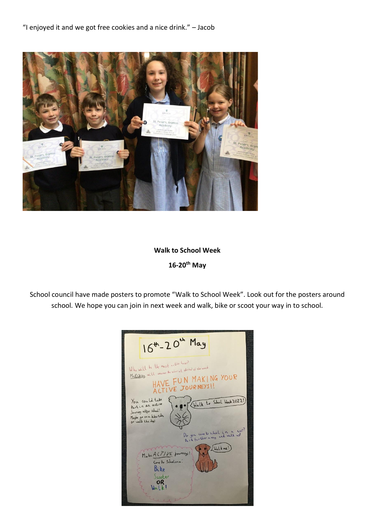

### **Walk to School Week 16-20th May**

School council have made posters to promote "Walk to School Week". Look out for the posters around school. We hope you can join in next week and walk, bike or scoot your way in to school.

| 16 <sup>th</sup> -20 <sup>th</sup> May                                                                                                    |
|-------------------------------------------------------------------------------------------------------------------------------------------|
| Who will be the most active house?<br>MaDakley will amone the white at the ond of the week.<br>HAVE FUN MAKING YOUR<br>ACTIVE JOURNEYS!   |
| Walk to School Week 2022!)<br>You could take<br>Part in an active<br>Journey after school!<br>Maybe go on a bikeride,<br>or walk the dog! |
| Do you come to school in a car?<br>Park further away and walk up!<br>Walk me!<br>Make ACTIVE journeys!<br>Come to Schoolona:              |
| Bike<br>Scooter<br>OR<br>$\text{Wall } k!$                                                                                                |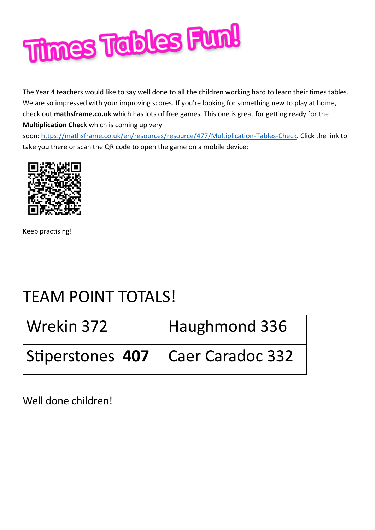

The Year 4 teachers would like to say well done to all the children working hard to learn their times tables. We are so impressed with your improving scores. If you're looking for something new to play at home, check out **mathsframe.co.uk** which has lots of free games. This one is great for getting ready for the **Multiplication Check** which is coming up very

soon: [https://mathsframe.co.uk/en/resources/resource/477/Multiplication-Tables-Check.](https://mathsframe.co.uk/en/resources/resource/477/Multiplication-Tables-Check) Click the link to take you there or scan the QR code to open the game on a mobile device:



Keep practising!

## TEAM POINT TOTALS!

| Wrekin 372       | Haughmond 336    |
|------------------|------------------|
| Stiperstones 407 | Caer Caradoc 332 |

Well done children!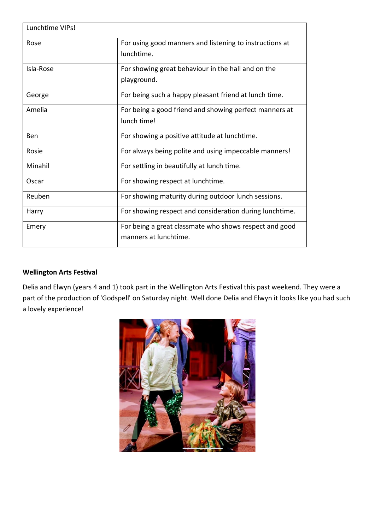| Lunchtime VIPs! |                                                                                 |
|-----------------|---------------------------------------------------------------------------------|
| Rose            | For using good manners and listening to instructions at<br>lunchtime.           |
| Isla-Rose       | For showing great behaviour in the hall and on the<br>playground.               |
| George          | For being such a happy pleasant friend at lunch time.                           |
| Amelia          | For being a good friend and showing perfect manners at<br>lunch time!           |
| Ben             | For showing a positive attitude at lunchtime.                                   |
| Rosie           | For always being polite and using impeccable manners!                           |
| Minahil         | For settling in beautifully at lunch time.                                      |
| Oscar           | For showing respect at lunchtime.                                               |
| Reuben          | For showing maturity during outdoor lunch sessions.                             |
| Harry           | For showing respect and consideration during lunchtime.                         |
| Emery           | For being a great classmate who shows respect and good<br>manners at lunchtime. |

#### **Wellington Arts Festival**

Delia and Elwyn (years 4 and 1) took part in the Wellington Arts Festival this past weekend. They were a part of the production of 'Godspell' on Saturday night. Well done Delia and Elwyn it looks like you had such a lovely experience!

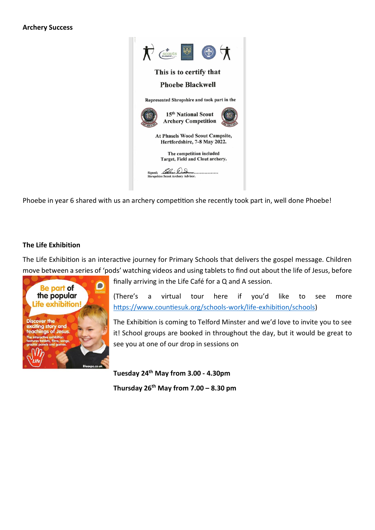

Phoebe in year 6 shared with us an archery competition she recently took part in, well done Phoebe!

#### **The Life Exhibition**

The Life Exhibition is an interactive journey for Primary Schools that delivers the gospel message. Children move between a series of 'pods' watching videos and using tablets to find out about the life of Jesus, before



finally arriving in the Life Café for a Q and A session.

(There's a virtual tour here if you'd like to see more [https://www.countiesuk.org/schools-work/life-exhibition/schools\)](https://www.countiesuk.org/schools-work/life-exhibition/schools)

The Exhibition is coming to Telford Minster and we'd love to invite you to see it! School groups are booked in throughout the day, but it would be great to see you at one of our drop in sessions on

**Tuesday 24th May from 3.00 - 4.30pm Thursday 26th May from 7.00 – 8.30 pm**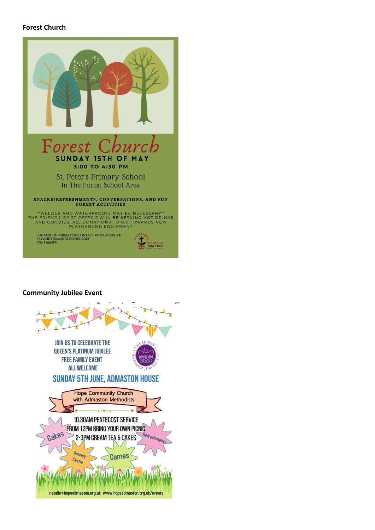#### **Forest Church**



#### **Community Jubilee Event**